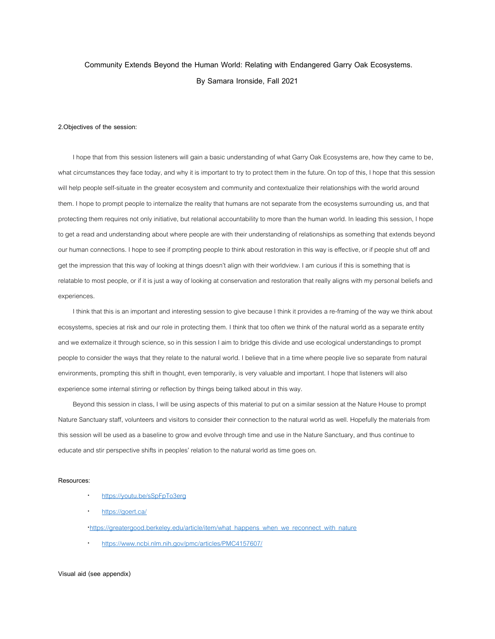# **Community Extends Beyond the Human World: Relating with Endangered Garry Oak Ecosystems. By Samara Ironside, Fall 2021**

### **2.Objectives of the session:**

I hope that from this session listeners will gain a basic understanding of what Garry Oak Ecosystems are, how they came to be, what circumstances they face today, and why it is important to try to protect them in the future. On top of this, I hope that this session will help people self-situate in the greater ecosystem and community and contextualize their relationships with the world around them. I hope to prompt people to internalize the reality that humans are not separate from the ecosystems surrounding us, and that protecting them requires not only initiative, but relational accountability to more than the human world. In leading this session, I hope to get a read and understanding about where people are with their understanding of relationships as something that extends beyond our human connections. I hope to see if prompting people to think about restoration in this way is effective, or if people shut off and get the impression that this way of looking at things doesn't align with their worldview. I am curious if this is something that is relatable to most people, or if it is just a way of looking at conservation and restoration that really aligns with my personal beliefs and experiences.

I think that this is an important and interesting session to give because I think it provides a re-framing of the way we think about ecosystems, species at risk and our role in protecting them. I think that too often we think of the natural world as a separate entity and we externalize it through science, so in this session I aim to bridge this divide and use ecological understandings to prompt people to consider the ways that they relate to the natural world. I believe that in a time where people live so separate from natural environments, prompting this shift in thought, even temporarily, is very valuable and important. I hope that listeners will also experience some internal stirring or reflection by things being talked about in this way.

Beyond this session in class, I will be using aspects of this material to put on a similar session at the Nature House to prompt Nature Sanctuary staff, volunteers and visitors to consider their connection to the natural world as well. Hopefully the materials from this session will be used as a baseline to grow and evolve through time and use in the Nature Sanctuary, and thus continue to educate and stir perspective shifts in peoples' relation to the natural world as time goes on.

#### **Resources:**

- · <https://youtu.be/sSpFpTo3erg>
- <https://goert.ca/>
- ·[https://greatergood.berkeley.edu/article/item/what\\_happens\\_when\\_we\\_reconnect\\_with\\_nature](https://greatergood.berkeley.edu/article/item/what_happens_when_we_reconnect_with_nature)
- <https://www.ncbi.nlm.nih.gov/pmc/articles/PMC4157607/>

### **Visual aid (see appendix)**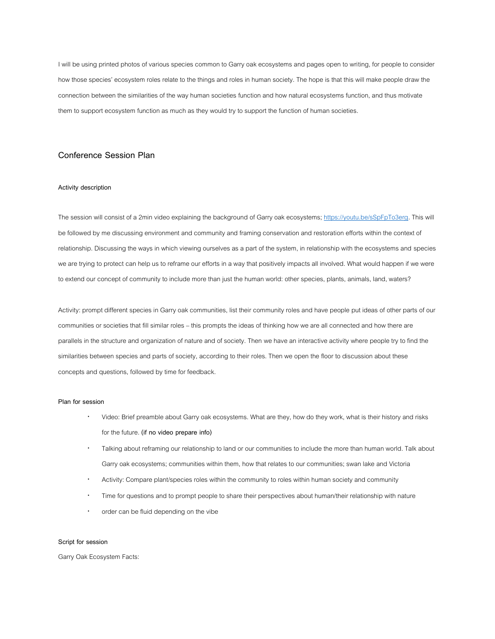I will be using printed photos of various species common to Garry oak ecosystems and pages open to writing, for people to consider how those species' ecosystem roles relate to the things and roles in human society. The hope is that this will make people draw the connection between the similarities of the way human societies function and how natural ecosystems function, and thus motivate them to support ecosystem function as much as they would try to support the function of human societies.

## **Conference Session Plan**

### **Activity description**

The session will consist of a 2min video explaining the background of Garry oak ecosystem[s;](https://youtu.be/sSpFpTo3erg) [https://youtu.be/sSpFpTo3erg.](https://youtu.be/sSpFpTo3erg) This will be followed by me discussing environment and community and framing conservation and restoration efforts within the context of relationship. Discussing the ways in which viewing ourselves as a part of the system, in relationship with the ecosystems and species we are trying to protect can help us to reframe our efforts in a way that positively impacts all involved. What would happen if we were to extend our concept of community to include more than just the human world: other species, plants, animals, land, waters?

Activity: prompt different species in Garry oak communities, list their community roles and have people put ideas of other parts of our communities or societies that fill similar roles – this prompts the ideas of thinking how we are all connected and how there are parallels in the structure and organization of nature and of society. Then we have an interactive activity where people try to find the similarities between species and parts of society, according to their roles. Then we open the floor to discussion about these concepts and questions, followed by time for feedback.

### **Plan for session**

- · Video: Brief preamble about Garry oak ecosystems. What are they, how do they work, what is their history and risks for the future. **(if no video prepare info)**
- · Talking about reframing our relationship to land or our communities to include the more than human world. Talk about Garry oak ecosystems; communities within them, how that relates to our communities; swan lake and Victoria
- · Activity: Compare plant/species roles within the community to roles within human society and community
- · Time for questions and to prompt people to share their perspectives about human/their relationship with nature
- order can be fluid depending on the vibe

### **Script for session**

Garry Oak Ecosystem Facts: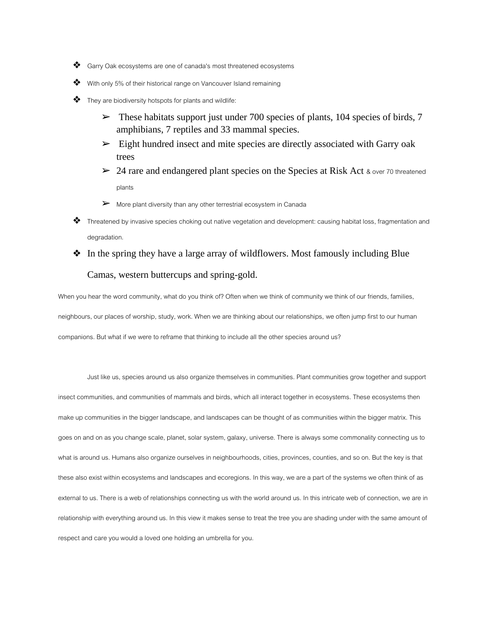- ❖ Garry Oak ecosystems are one of canada's most threatened ecosystems
- With only 5% of their historical range on Vancouver Island remaining
- $\clubsuit$  They are biodiversity hotspots for plants and wildlife:
	- $\blacktriangleright$  These habitats support just under 700 species of plants, 104 species of birds, 7 amphibians, 7 reptiles and 33 mammal species.
	- $\triangleright$  Eight hundred insect and mite species are directly associated with Garry oak trees
	- $\geq$  24 rare and endangered plant species on the Species at Risk Act & over 70 threatened plants
	- ➢ More plant diversity than any other terrestrial ecosystem in Canada
- ❖ Threatened by invasive species choking out native vegetation and development: causing habitat loss, fragmentation and degradation.
- ❖ In the spring they have a large array of wildflowers. Most famously including Blue

## Camas, western buttercups and spring-gold.

When you hear the word community, what do you think of? Often when we think of community we think of our friends, families, neighbours, our places of worship, study, work. When we are thinking about our relationships, we often jump first to our human companions. But what if we were to reframe that thinking to include all the other species around us?

Just like us, species around us also organize themselves in communities. Plant communities grow together and support insect communities, and communities of mammals and birds, which all interact together in ecosystems. These ecosystems then make up communities in the bigger landscape, and landscapes can be thought of as communities within the bigger matrix. This goes on and on as you change scale, planet, solar system, galaxy, universe. There is always some commonality connecting us to what is around us. Humans also organize ourselves in neighbourhoods, cities, provinces, counties, and so on. But the key is that these also exist within ecosystems and landscapes and ecoregions. In this way, we are a part of the systems we often think of as external to us. There is a web of relationships connecting us with the world around us. In this intricate web of connection, we are in relationship with everything around us. In this view it makes sense to treat the tree you are shading under with the same amount of respect and care you would a loved one holding an umbrella for you.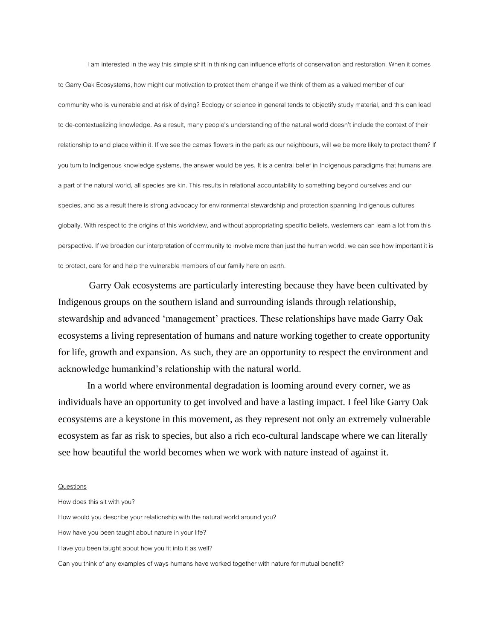I am interested in the way this simple shift in thinking can influence efforts of conservation and restoration. When it comes to Garry Oak Ecosystems, how might our motivation to protect them change if we think of them as a valued member of our community who is vulnerable and at risk of dying? Ecology or science in general tends to objectify study material, and this can lead to de-contextualizing knowledge. As a result, many people's understanding of the natural world doesn't include the context of their relationship to and place within it. If we see the camas flowers in the park as our neighbours, will we be more likely to protect them? If you turn to Indigenous knowledge systems, the answer would be yes. It is a central belief in Indigenous paradigms that humans are a part of the natural world, all species are kin. This results in relational accountability to something beyond ourselves and our species, and as a result there is strong advocacy for environmental stewardship and protection spanning Indigenous cultures globally. With respect to the origins of this worldview, and without appropriating specific beliefs, westerners can learn a lot from this perspective. If we broaden our interpretation of community to involve more than just the human world, we can see how important it is to protect, care for and help the vulnerable members of our family here on earth.

Garry Oak ecosystems are particularly interesting because they have been cultivated by Indigenous groups on the southern island and surrounding islands through relationship, stewardship and advanced 'management' practices. These relationships have made Garry Oak ecosystems a living representation of humans and nature working together to create opportunity for life, growth and expansion. As such, they are an opportunity to respect the environment and acknowledge humankind's relationship with the natural world.

In a world where environmental degradation is looming around every corner, we as individuals have an opportunity to get involved and have a lasting impact. I feel like Garry Oak ecosystems are a keystone in this movement, as they represent not only an extremely vulnerable ecosystem as far as risk to species, but also a rich eco-cultural landscape where we can literally see how beautiful the world becomes when we work with nature instead of against it.

### **Questions**

How does this sit with you? How would you describe your relationship with the natural world around you? How have you been taught about nature in your life? Have you been taught about how you fit into it as well? Can you think of any examples of ways humans have worked together with nature for mutual benefit?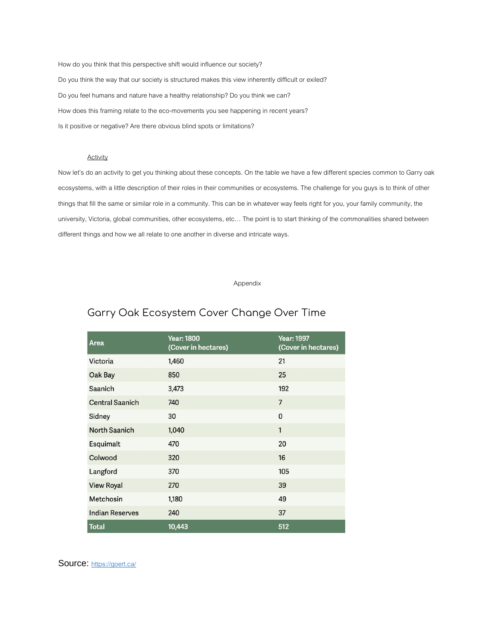How do you think that this perspective shift would influence our society? Do you think the way that our society is structured makes this view inherently difficult or exiled? Do you feel humans and nature have a healthy relationship? Do you think we can? How does this framing relate to the eco-movements you see happening in recent years? Is it positive or negative? Are there obvious blind spots or limitations?

### **Activity**

Now let's do an activity to get you thinking about these concepts. On the table we have a few different species common to Garry oak ecosystems, with a little description of their roles in their communities or ecosystems. The challenge for you guys is to think of other things that fill the same or similar role in a community. This can be in whatever way feels right for you, your family community, the university, Victoria, global communities, other ecosystems, etc… The point is to start thinking of the commonalities shared between different things and how we all relate to one another in diverse and intricate ways.

Appendix

# Garry Oak Ecosystem Cover Change Over Time

| Area                   | <b>Year: 1800</b><br>(Cover in hectares) | <b>Year: 1997</b><br>(Cover in hectares) |
|------------------------|------------------------------------------|------------------------------------------|
| Victoria               | 1,460                                    | 21                                       |
| Oak Bay                | 850                                      | 25                                       |
| Saanich                | 3,473                                    | 192                                      |
| <b>Central Saanich</b> | 740                                      | $\overline{7}$                           |
| Sidney                 | 30                                       | 0                                        |
| <b>North Saanich</b>   | 1,040                                    | 1                                        |
| Esquimalt              | 470                                      | 20                                       |
| Colwood                | 320                                      | 16                                       |
| Langford               | 370                                      | 105                                      |
| <b>View Royal</b>      | 270                                      | 39                                       |
| Metchosin              | 1,180                                    | 49                                       |
| <b>Indian Reserves</b> | 240                                      | 37                                       |
| <b>Total</b>           | 10,443                                   | 512                                      |

Source: <https://goert.ca/>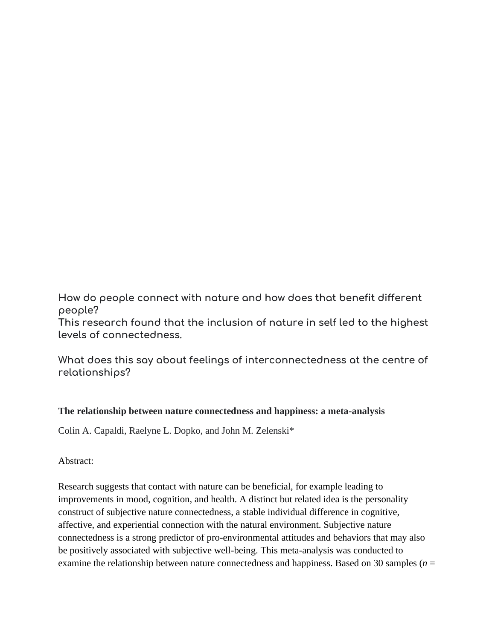**How do people connect with nature and how does that benefit different people?** 

**This research found that the inclusion of nature in self led to the highest levels of connectedness.** 

**What does this say about feelings of interconnectedness at the centre of relationships?**

## **The relationship between nature connectedness and happiness: a meta-analysis**

[Colin A. Capaldi,](https://www.ncbi.nlm.nih.gov/pubmed/?term=Capaldi%20CA%5BAuthor%5D&cauthor=true&cauthor_uid=25249992) [Raelyne L. Dopko,](https://www.ncbi.nlm.nih.gov/pubmed/?term=Dopko%20RL%5BAuthor%5D&cauthor=true&cauthor_uid=25249992) and [John M. Zelenski\\*](https://www.ncbi.nlm.nih.gov/pubmed/?term=Zelenski%20JM%5BAuthor%5D&cauthor=true&cauthor_uid=25249992)

Abstract:

Research suggests that contact with nature can be beneficial, for example leading to improvements in mood, cognition, and health. A distinct but related idea is the personality construct of subjective nature connectedness, a stable individual difference in cognitive, affective, and experiential connection with the natural environment. Subjective nature connectedness is a strong predictor of pro-environmental attitudes and behaviors that may also be positively associated with subjective well-being. This meta-analysis was conducted to examine the relationship between nature connectedness and happiness. Based on 30 samples (*n* =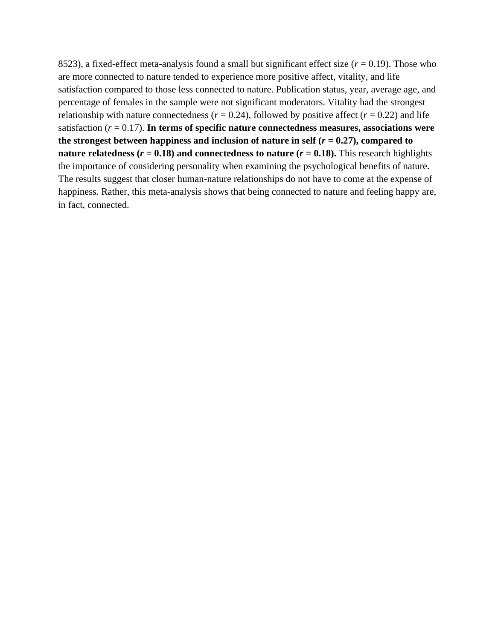8523), a fixed-effect meta-analysis found a small but significant effect size (*r* = 0.19). Those who are more connected to nature tended to experience more positive affect, vitality, and life satisfaction compared to those less connected to nature. Publication status, year, average age, and percentage of females in the sample were not significant moderators. Vitality had the strongest relationship with nature connectedness ( $r = 0.24$ ), followed by positive affect ( $r = 0.22$ ) and life satisfaction (*r* = 0.17). **In terms of specific nature connectedness measures, associations were**  the strongest between happiness and inclusion of nature in self  $(r = 0.27)$ , compared to **nature relatedness (** $r = 0.18$ **) and connectedness to nature (** $r = 0.18$ **).** This research highlights the importance of considering personality when examining the psychological benefits of nature. The results suggest that closer human-nature relationships do not have to come at the expense of happiness. Rather, this meta-analysis shows that being connected to nature and feeling happy are, in fact, connected.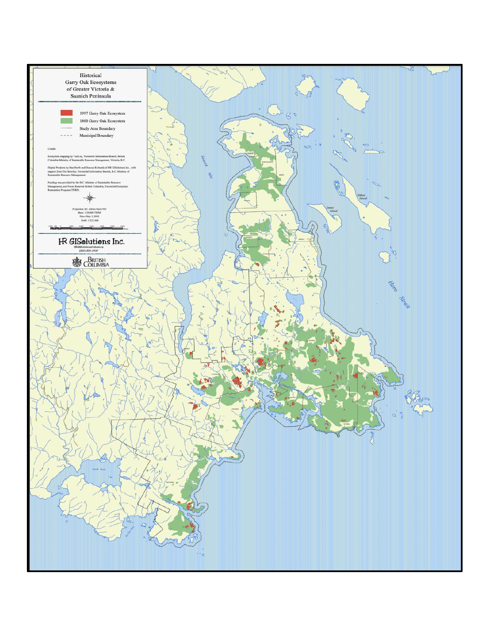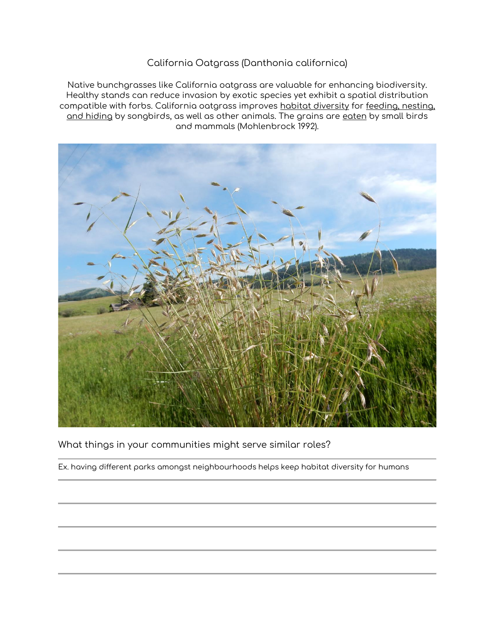## California Oatgrass (Danthonia californica)

Native bunchgrasses like California oatgrass are valuable for enhancing biodiversity. Healthy stands can reduce invasion by exotic species yet exhibit a spatial distribution compatible with forbs. California oatgrass improves habitat diversity for feeding, nesting, and hiding by songbirds, as well as other animals. The grains are eaten by small birds and mammals (Mohlenbrock 1992).



What things in your communities might serve similar roles?

Ex. having different parks amongst neighbourhoods helps keep habitat diversity for humans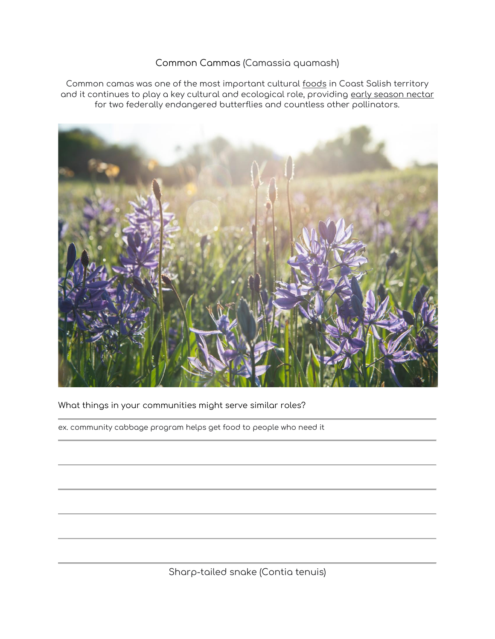## Common Cammas (Camassia quamash)

Common camas was one of the most important cultural foods in Coast Salish territory and it continues to play a key cultural and ecological role, providing early season nectar for two federally endangered butterflies and countless other pollinators.



What things in your communities might serve similar roles?

ex. community cabbage program helps get food to people who need it

Sharp-tailed snake (Contia tenuis)